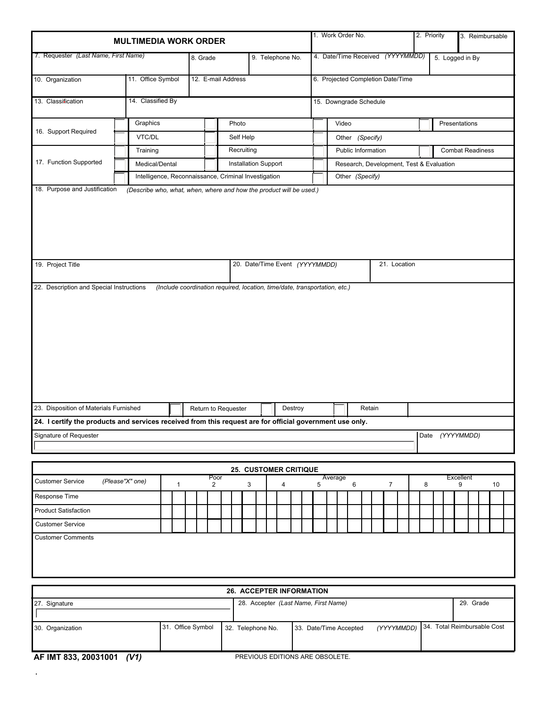| <b>MULTIMEDIA WORK ORDER</b>                                                                             |                                                      |                                      |                   |  |                  |                             |                              |                                |                                  |                                   |                                      |  |                                          | 1. Work Order No.                                    |  |           |                 |                             |                 | 2. Priority    |              |                 |   |  |           | 3. Reimbursable |  |  |    |  |
|----------------------------------------------------------------------------------------------------------|------------------------------------------------------|--------------------------------------|-------------------|--|------------------|-----------------------------|------------------------------|--------------------------------|----------------------------------|-----------------------------------|--------------------------------------|--|------------------------------------------|------------------------------------------------------|--|-----------|-----------------|-----------------------------|-----------------|----------------|--------------|-----------------|---|--|-----------|-----------------|--|--|----|--|
| 7. Requester (Last Name, First Name)                                                                     | 8. Grade                                             |                                      |                   |  | 9. Telephone No. |                             |                              |                                | 4. Date/Time Received (YYYYMMDD) |                                   |                                      |  |                                          |                                                      |  |           |                 |                             |                 |                |              |                 |   |  |           |                 |  |  |    |  |
|                                                                                                          |                                                      |                                      |                   |  |                  |                             |                              |                                |                                  |                                   |                                      |  |                                          |                                                      |  |           |                 |                             | 5. Logged in By |                |              |                 |   |  |           |                 |  |  |    |  |
| 10. Organization                                                                                         | 11. Office Symbol                                    | 12. E-mail Address                   |                   |  |                  |                             |                              |                                |                                  | 6. Projected Completion Date/Time |                                      |  |                                          |                                                      |  |           |                 |                             |                 |                |              |                 |   |  |           |                 |  |  |    |  |
| 13. Classification                                                                                       | 14. Classified By                                    |                                      |                   |  |                  |                             |                              |                                |                                  | 15. Downgrade Schedule            |                                      |  |                                          |                                                      |  |           |                 |                             |                 |                |              |                 |   |  |           |                 |  |  |    |  |
|                                                                                                          |                                                      | Graphics                             |                   |  |                  |                             |                              | Photo                          |                                  |                                   |                                      |  | Video                                    |                                                      |  |           |                 |                             |                 |                |              | Presentations   |   |  |           |                 |  |  |    |  |
| 16. Support Required                                                                                     | VTC/DL                                               |                                      |                   |  |                  |                             | Self Help                    |                                |                                  |                                   |                                      |  | Other (Specify)                          |                                                      |  |           |                 |                             |                 |                |              |                 |   |  |           |                 |  |  |    |  |
|                                                                                                          |                                                      | Training                             |                   |  |                  |                             |                              | Recruiting                     |                                  |                                   |                                      |  |                                          | <b>Public Information</b><br><b>Combat Readiness</b> |  |           |                 |                             |                 |                |              |                 |   |  |           |                 |  |  |    |  |
| 17. Function Supported                                                                                   | Medical/Dental                                       |                                      |                   |  |                  | <b>Installation Support</b> |                              |                                |                                  |                                   |                                      |  | Research, Development, Test & Evaluation |                                                      |  |           |                 |                             |                 |                |              |                 |   |  |           |                 |  |  |    |  |
|                                                                                                          | Intelligence, Reconnaissance, Criminal Investigation |                                      |                   |  |                  |                             |                              |                                |                                  |                                   |                                      |  |                                          |                                                      |  |           | Other (Specify) |                             |                 |                |              |                 |   |  |           |                 |  |  |    |  |
| 18. Purpose and Justification<br>(Describe who, what, when, where and how the product will be used.)     |                                                      |                                      |                   |  |                  |                             |                              |                                |                                  |                                   |                                      |  |                                          |                                                      |  |           |                 |                             |                 |                |              |                 |   |  |           |                 |  |  |    |  |
| 19. Project Title                                                                                        |                                                      |                                      |                   |  |                  |                             |                              | 20. Date/Time Event (YYYYMMDD) |                                  |                                   |                                      |  |                                          |                                                      |  |           |                 |                             |                 |                | 21. Location |                 |   |  |           |                 |  |  |    |  |
|                                                                                                          |                                                      |                                      |                   |  |                  |                             |                              |                                |                                  |                                   |                                      |  |                                          |                                                      |  |           |                 |                             |                 |                |              |                 |   |  |           |                 |  |  |    |  |
| 23. Disposition of Materials Furnished<br>Return to Requester                                            |                                                      |                                      |                   |  |                  |                             |                              | Destroy                        |                                  |                                   |                                      |  |                                          | Retain                                               |  |           |                 |                             |                 |                |              |                 |   |  |           |                 |  |  |    |  |
| 24. I certify the products and services received from this request are for official government use only. |                                                      |                                      |                   |  |                  |                             |                              |                                |                                  |                                   |                                      |  |                                          |                                                      |  |           |                 |                             |                 |                |              |                 |   |  |           |                 |  |  |    |  |
| Signature of Requester                                                                                   |                                                      |                                      |                   |  |                  |                             |                              |                                |                                  |                                   |                                      |  |                                          |                                                      |  |           |                 |                             |                 |                |              | Date (YYYYMMDD) |   |  |           |                 |  |  |    |  |
|                                                                                                          |                                                      |                                      |                   |  |                  |                             |                              |                                |                                  |                                   |                                      |  |                                          |                                                      |  |           |                 |                             |                 |                |              |                 |   |  |           |                 |  |  |    |  |
| <b>Customer Service</b>                                                                                  | (Please"X" one)                                      |                                      |                   |  | Poor             |                             | <b>25. CUSTOMER CRITIQUE</b> |                                |                                  |                                   |                                      |  |                                          | Average<br>5                                         |  |           |                 |                             |                 |                |              |                 |   |  | Excellent |                 |  |  |    |  |
| Response Time                                                                                            |                                                      |                                      | $\mathbf{1}$      |  | 2                |                             |                              | 3                              |                                  |                                   | 4                                    |  |                                          |                                                      |  |           | 6               |                             |                 | $\overline{7}$ |              |                 | 8 |  |           | 9               |  |  | 10 |  |
| <b>Product Satisfaction</b>                                                                              |                                                      |                                      |                   |  |                  |                             |                              |                                |                                  |                                   |                                      |  |                                          |                                                      |  |           |                 |                             |                 |                |              |                 |   |  |           |                 |  |  |    |  |
| <b>Customer Service</b>                                                                                  |                                                      |                                      |                   |  |                  |                             |                              |                                |                                  |                                   |                                      |  |                                          |                                                      |  |           |                 |                             |                 |                |              |                 |   |  |           |                 |  |  |    |  |
| <b>Customer Comments</b>                                                                                 |                                                      |                                      |                   |  |                  |                             |                              |                                |                                  |                                   |                                      |  |                                          |                                                      |  |           |                 |                             |                 |                |              |                 |   |  |           |                 |  |  |    |  |
|                                                                                                          |                                                      |                                      |                   |  |                  |                             |                              |                                |                                  |                                   |                                      |  |                                          |                                                      |  |           |                 |                             |                 |                |              |                 |   |  |           |                 |  |  |    |  |
|                                                                                                          |                                                      |                                      |                   |  |                  |                             |                              |                                |                                  |                                   |                                      |  | <b>26. ACCEPTER INFORMATION</b>          |                                                      |  |           |                 |                             |                 |                |              |                 |   |  |           |                 |  |  |    |  |
| 27. Signature                                                                                            |                                                      | 28. Accepter (Last Name, First Name) |                   |  |                  |                             |                              |                                |                                  |                                   |                                      |  |                                          |                                                      |  | 29. Grade |                 |                             |                 |                |              |                 |   |  |           |                 |  |  |    |  |
| 30. Organization                                                                                         |                                                      |                                      | 31. Office Symbol |  |                  | 32. Telephone No.           |                              |                                |                                  |                                   | 33. Date/Time Accepted<br>(YYYYMMDD) |  |                                          |                                                      |  |           |                 | 34. Total Reimbursable Cost |                 |                |              |                 |   |  |           |                 |  |  |    |  |

**AF IMT 833, 20031001** *(V1)* PREVIOUS EDITIONS ARE OBSOLETE.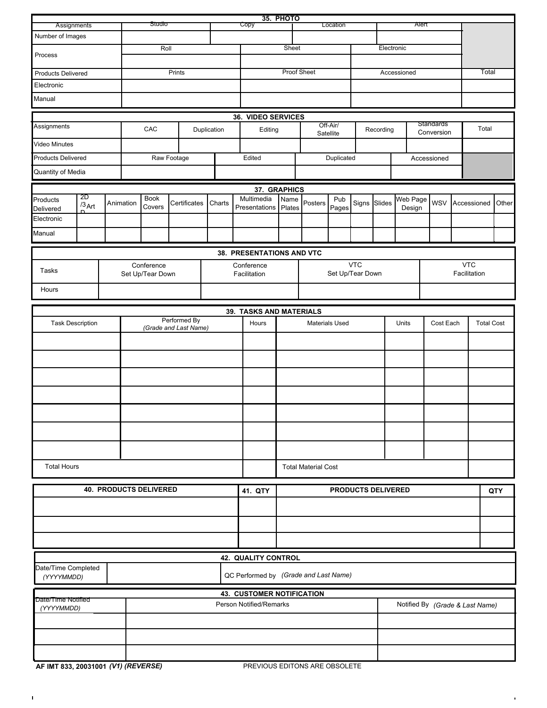| Assignments                                                      |                                  | Studio             |           |                       |              |        | <b>35. PHOTO</b><br>Copy | Location                                                    |                                  |                            |              |              |             |                    |                   |                                 |  |             |       |  |  |
|------------------------------------------------------------------|----------------------------------|--------------------|-----------|-----------------------|--------------|--------|--------------------------|-------------------------------------------------------------|----------------------------------|----------------------------|--------------|--------------|-------------|--------------------|-------------------|---------------------------------|--|-------------|-------|--|--|
| Number of Images                                                 |                                  |                    |           |                       |              |        |                          |                                                             |                                  |                            |              |              |             | Alert              |                   |                                 |  |             |       |  |  |
|                                                                  |                                  |                    |           | Roll                  |              |        |                          | Sheet                                                       |                                  |                            |              |              |             | Electronic         |                   |                                 |  |             |       |  |  |
| Process                                                          |                                  |                    |           |                       |              |        |                          |                                                             |                                  |                            |              |              |             |                    |                   |                                 |  |             |       |  |  |
| Prints<br><b>Products Delivered</b>                              |                                  |                    |           |                       |              |        | <b>Proof Sheet</b>       |                                                             |                                  |                            |              |              | Accessioned |                    | Total             |                                 |  |             |       |  |  |
| Electronic                                                       |                                  |                    |           |                       |              |        |                          |                                                             |                                  |                            |              |              |             |                    |                   |                                 |  |             |       |  |  |
| Manual                                                           |                                  |                    |           |                       |              |        |                          |                                                             |                                  |                            |              |              |             |                    |                   |                                 |  |             |       |  |  |
|                                                                  |                                  | 36. VIDEO SERVICES |           |                       |              |        |                          |                                                             |                                  |                            |              |              |             |                    |                   |                                 |  |             |       |  |  |
| Assignments<br>CAC<br>Duplication                                |                                  |                    |           |                       |              |        |                          | Editing                                                     |                                  | Off-Air/                   |              |              | Recording   |                    |                   | Standards                       |  | Total       |       |  |  |
| <b>Video Minutes</b>                                             |                                  |                    |           |                       |              |        |                          |                                                             | Satellite                        |                            |              | Conversion   |             |                    |                   |                                 |  |             |       |  |  |
| <b>Products Delivered</b><br>Raw Footage                         |                                  |                    |           |                       |              |        |                          | Edited                                                      |                                  | Duplicated                 |              |              |             |                    | Accessioned       |                                 |  |             |       |  |  |
|                                                                  |                                  |                    |           |                       |              |        |                          |                                                             |                                  |                            |              |              |             |                    |                   |                                 |  |             |       |  |  |
| Quantity of Media                                                |                                  |                    |           |                       |              |        |                          |                                                             |                                  |                            |              |              |             |                    |                   |                                 |  |             |       |  |  |
|                                                                  | 2D                               |                    |           |                       |              |        |                          |                                                             | 37. GRAPHICS<br>Name             |                            |              |              |             |                    |                   |                                 |  |             |       |  |  |
| Products<br>Delivered                                            | $/3$ Art                         |                    | Animation | <b>Book</b><br>Covers | Certificates | Charts |                          | Multimedia<br>Presentations                                 | Plates                           | Posters                    | Pub<br>Pages | Signs Slides |             | Web Page<br>Design |                   | <b>WSV</b>                      |  | Accessioned | Other |  |  |
| Electronic                                                       |                                  |                    |           |                       |              |        |                          |                                                             |                                  |                            |              |              |             |                    |                   |                                 |  |             |       |  |  |
| Manual                                                           |                                  |                    |           |                       |              |        |                          |                                                             |                                  |                            |              |              |             |                    |                   |                                 |  |             |       |  |  |
|                                                                  | <b>38. PRESENTATIONS AND VTC</b> |                    |           |                       |              |        |                          |                                                             |                                  |                            |              |              |             |                    |                   |                                 |  |             |       |  |  |
|                                                                  |                                  |                    |           | Conference            |              |        |                          | Conference                                                  |                                  |                            |              | <b>VTC</b>   |             |                    |                   |                                 |  | <b>VTC</b>  |       |  |  |
| Tasks                                                            |                                  |                    |           | Set Up/Tear Down      |              |        |                          |                                                             | Set Up/Tear Down<br>Facilitation |                            |              |              |             |                    |                   | Facilitation                    |  |             |       |  |  |
| Hours                                                            |                                  |                    |           |                       |              |        |                          |                                                             |                                  |                            |              |              |             |                    |                   |                                 |  |             |       |  |  |
|                                                                  |                                  |                    |           |                       |              |        |                          |                                                             |                                  |                            |              |              |             |                    |                   |                                 |  |             |       |  |  |
|                                                                  |                                  |                    |           |                       |              |        |                          | 39. TASKS AND MATERIALS                                     |                                  |                            |              |              |             |                    |                   |                                 |  |             |       |  |  |
| Performed By<br><b>Task Description</b><br>(Grade and Last Name) |                                  |                    |           |                       |              |        | Hours                    |                                                             | <b>Materials Used</b>            |                            | Units        |              |             | Cost Each          | <b>Total Cost</b> |                                 |  |             |       |  |  |
|                                                                  |                                  |                    |           |                       |              |        |                          |                                                             |                                  |                            |              |              |             |                    |                   |                                 |  |             |       |  |  |
|                                                                  |                                  |                    |           |                       |              |        |                          |                                                             |                                  |                            |              |              |             |                    |                   |                                 |  |             |       |  |  |
|                                                                  |                                  |                    |           |                       |              |        |                          |                                                             |                                  |                            |              |              |             |                    |                   |                                 |  |             |       |  |  |
|                                                                  |                                  |                    |           |                       |              |        |                          |                                                             |                                  |                            |              |              |             |                    |                   |                                 |  |             |       |  |  |
|                                                                  |                                  |                    |           |                       |              |        |                          |                                                             |                                  |                            |              |              |             |                    |                   |                                 |  |             |       |  |  |
|                                                                  |                                  |                    |           |                       |              |        |                          |                                                             |                                  |                            |              |              |             |                    |                   |                                 |  |             |       |  |  |
|                                                                  |                                  |                    |           |                       |              |        |                          |                                                             |                                  |                            |              |              |             |                    |                   |                                 |  |             |       |  |  |
|                                                                  |                                  |                    |           |                       |              |        |                          |                                                             |                                  |                            |              |              |             |                    |                   |                                 |  |             |       |  |  |
|                                                                  |                                  |                    |           |                       |              |        |                          |                                                             |                                  |                            |              |              |             |                    |                   |                                 |  |             |       |  |  |
| <b>Total Hours</b>                                               |                                  |                    |           |                       |              |        |                          |                                                             |                                  | <b>Total Material Cost</b> |              |              |             |                    |                   |                                 |  |             |       |  |  |
|                                                                  |                                  |                    |           |                       |              |        |                          |                                                             |                                  |                            |              |              |             |                    |                   |                                 |  |             |       |  |  |
|                                                                  | <b>40. PRODUCTS DELIVERED</b>    |                    |           |                       |              |        |                          | 41. QTY                                                     | <b>PRODUCTS DELIVERED</b>        |                            |              |              |             |                    |                   |                                 |  |             |       |  |  |
|                                                                  |                                  |                    |           |                       |              |        |                          |                                                             |                                  |                            |              |              |             |                    |                   |                                 |  |             |       |  |  |
|                                                                  |                                  |                    |           |                       |              |        |                          |                                                             |                                  |                            |              |              |             |                    |                   |                                 |  |             |       |  |  |
|                                                                  |                                  |                    |           |                       |              |        |                          |                                                             |                                  |                            |              |              |             |                    |                   |                                 |  |             |       |  |  |
|                                                                  |                                  |                    |           |                       |              |        |                          |                                                             |                                  |                            |              |              |             |                    |                   |                                 |  |             |       |  |  |
|                                                                  |                                  |                    |           |                       |              |        |                          | 42. QUALITY CONTROL                                         |                                  |                            |              |              |             |                    |                   |                                 |  |             |       |  |  |
| Date/Time Completed<br>(YYYYMMDD)                                |                                  |                    |           |                       |              |        |                          | QC Performed by (Grade and Last Name)                       |                                  |                            |              |              |             |                    |                   |                                 |  |             |       |  |  |
|                                                                  |                                  |                    |           |                       |              |        |                          |                                                             |                                  |                            |              |              |             |                    |                   |                                 |  |             |       |  |  |
| Date/Time Notified<br>(YYYYMMDD)                                 |                                  |                    |           |                       |              |        |                          | <b>43. CUSTOMER NOTIFICATION</b><br>Person Notified/Remarks |                                  |                            |              |              |             |                    |                   | Notified By (Grade & Last Name) |  |             |       |  |  |
|                                                                  |                                  |                    |           |                       |              |        |                          |                                                             |                                  |                            |              |              |             |                    |                   |                                 |  |             |       |  |  |
|                                                                  |                                  |                    |           |                       |              |        |                          |                                                             |                                  |                            |              |              |             |                    |                   |                                 |  |             |       |  |  |
|                                                                  |                                  |                    |           |                       |              |        |                          |                                                             |                                  |                            |              |              |             |                    |                   |                                 |  |             |       |  |  |
|                                                                  |                                  |                    |           |                       |              |        |                          |                                                             |                                  |                            |              |              |             |                    |                   |                                 |  |             |       |  |  |

 $\mathbf{r}$ 

 $\epsilon$